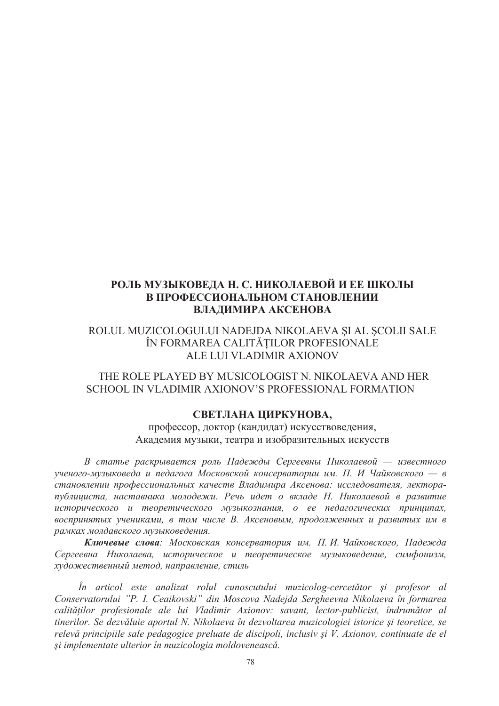## **РОЛЬ МУЗЫКОВЕДА Н. С. НИКОЛАЕВОЙ И ЕЕ ШКОЛЫ** В ПРОФЕССИОНАЛЬНОМ СТАНОВЛЕНИИ ВЛАДИМИРА АКСЕНОВА

ROLUL MUZICOLOGULUI NADEJDA NIKOLAEVA ȘI AL ȘCOLII SALE ÎN FORMAREA CALITĂTILOR PROFESIONALE ALE LUI VLADIMIR AXIONOV

 THE ROLE PLAYED BY MUSICOLOGIST N. NIKOLAEVA AND HER SCHOOL IN VLADIMIR AXIONOV'S PROFESSIONAL FORMATION

## СВЕТЛАНА ЦИРКУНОВА,

профессор, доктор (кандидат) искусствоведения, Академия музыки, театра и изобразительных искусств

В статье раскрывается роль Надежды Сергеевны Николаевой — известного  $y$ ченого-музыковеда и педагога Московской консерватории им. П. И Чайковского — в становлении профессиональных качеств Владимира Аксенова: исследователя, лекторапублициста, наставника молодежи. Речь идет о вкладе Н. Николаевой в развитие исторического и теоретического музыкознания, о ее педагогических принципах, *ɜɨɫɩɪɢɧɹɬɵɯ ɭɱɟɧɢɤɚɦɢ, ɜ ɬɨɦ ɱɢɫɥɟ ȼ. Ⱥɤɫɟɧɨɜɵɦ, ɩɪɨɞɨɥɠɟɧɧɵɯ ɢ ɪɚɡɜɢɬɵɯ ɢɦ ɜ*  $pa$ MКах молдавского музыковедения.

**Ключевые слова**: Московская консерватория им. П.И. Чайковского, Надежда *ɋɟɪɝɟɟɜɧɚ ɇɢɤɨɥɚɟɜɚ, ɢɫɬɨɪɢɱɟɫɤɨɟ ɢ ɬɟɨɪɟɬɢɱɟɫɤɨɟ ɦɭɡɵɤɨɜɟɞɟɧɢɟ, ɫɢɦɮɨɧɢɡɦ,*   $x$ удожественный метод, направление, стиль

*În articol este analizat rolul cunoscutului muzicolog-cercetător úi profesor al Conservatorului "P. I. Ceaikovski" din Moscova Nadejda Sergheevna Nikolaeva în formarea*   $c$ *alităților profesionale ale lui Vladimir Axionov: savant, lector-publicist, îndrumător al tinerilor. Se dezvăluie aportul N. Nikolaeva în dezvoltarea muzicologiei istorice úi teoretice, se relevă principiile sale pedagogice preluate de discipoli, inclusiv úi V. Axionov, continuate de el úi implementate ulterior în muzicologia moldovenească.*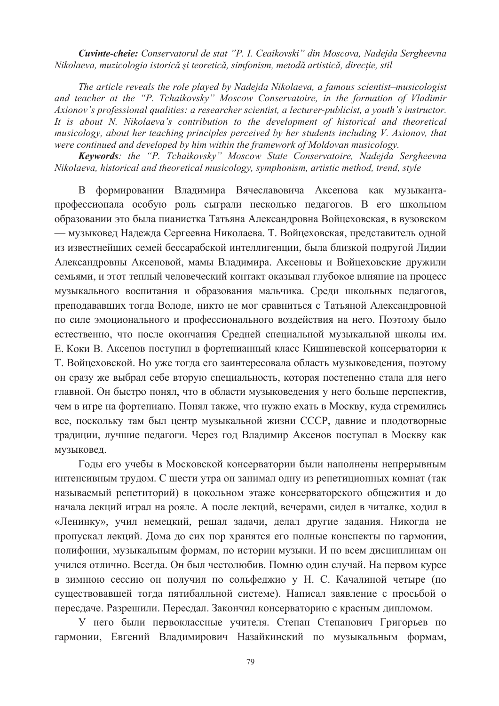*Cuvinte-cheie: Conservatorul de stat "P. I. Ceaikovski" din Moscova, Nadejda Sergheevna Nikolaeva, muzicologia istorică și teoretică, simfonism, metodă artistică, direcție, stil* 

*The article reveals the role played by Nadejda Nikolaeva, a famous scientist–musicologist and teacher at the "P. Tchaikovsky" Moscow Conservatoire, in the formation of Vladimir Axionov's professional qualities: a researcher scientist, a lecturer-publicist, a youth's instructor. It is about N. Nikolaeva's contribution to the development of historical and theoretical musicology, about her teaching principles perceived by her students including V. Axionov, that were continued and developed by him within the framework of Moldovan musicology.* 

*Keywords: the "P. Tchaikovsky" Moscow State Conservatoire, Nadejda Sergheevna Nikolaeva, historical and theoretical musicology, symphonism, artistic method, trend, style*

В формировании Владимира Вячеславовича Аксенова как музыкантапрофессионала особую роль сыграли несколько педагогов. В его школьном образовании это была пианистка Татьяна Александровна Войцеховская, в вузовском — музыковед Надежда Сергеевна Николаева. Т. Войцеховская, представитель одной из известнейших семей бессарабской интеллигенции, была близкой подругой Лидии Александровны Аксеновой, мамы Владимира. Аксеновы и Войцеховские дружили семьями, и этот теплый человеческий контакт оказывал глубокое влияние на процесс музыкального воспитания и образования мальчика. Среди школьных педагогов, преподававших тогда Володе, никто не мог сравниться с Татьяной Александровной по силе эмоционального и профессионального воздействия на него. Поэтому было естественно, что после окончания Средней специальной музыкальной школы им. Е. Коки В. Аксенов поступил в фортепианный класс Кишиневской консерватории к Т. Войцеховской. Но уже тогда его заинтересовала область музыковедения, поэтому он сразу же выбрал себе вторую специальность, которая постепенно стала для него главной. Он быстро понял, что в области музыковедения у него больше перспектив, чем в игре на фортепиано. Понял также, что нужно ехать в Москву, куда стремились все, поскольку там был центр музыкальной жизни СССР, давние и плодотворные традиции, лучшие педагоги. Через год Владимир Аксенов поступал в Москву как музыковед.

Годы его учебы в Московской консерватории были наполнены непрерывным интенсивным трудом. С шести утра он занимал одну из репетиционных комнат (так называемый репетиторий) в цокольном этаже консерваторского общежития и до начала лекций играл на рояле. А после лекций, вечерами, сидел в читалке, ходил в «Ленинку», учил немецкий, решал задачи, делал другие задания. Никогда не пропускал лекций. Дома до сих пор хранятся его полные конспекты по гармонии, полифонии, музыкальным формам, по истории музыки. И по всем дисциплинам он учился отлично. Всегда. Он был честолюбив. Помню один случай. На первом курсе в зимнюю сессию он получил по сольфеджио у Н. С. Качалиной четыре (по существовавшей тогда пятибалльной системе). Написал заявление с просьбой о пересдаче. Разрешили. Пересдал. Закончил консерваторию с красным дипломом.

У него были первоклассные учителя. Степан Степанович Григорьев по гармонии, Евгений Владимирович Назайкинский по музыкальным формам,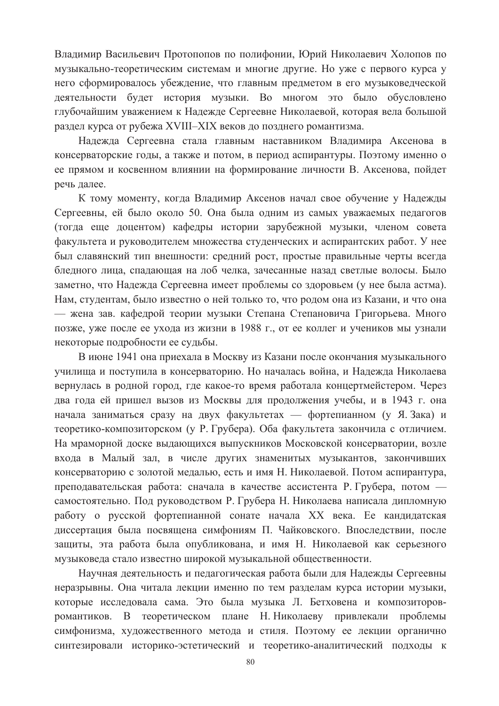Владимир Васильевич Протопопов по полифонии, Юрий Николаевич Холопов по музыкально-теоретическим системам и многие другие. Но уже с первого курса у него сформировалось убеждение, что главным предметом в его музыковедческой деятельности будет история музыки. Во многом это было обусловлено глубочайшим уважением к Надежде Сергеевне Николаевой, которая вела большой раздел курса от рубежа XVIII–XIX веков до позднего романтизма.

Надежда Сергеевна стала главным наставником Владимира Аксенова в консерваторские годы, а также и потом, в период аспирантуры. Поэтому именно о ее прямом и косвенном влиянии на формирование личности В. Аксенова, пойдет речь далее.

К тому моменту, когда Владимир Аксенов начал свое обучение у Надежды Сергеевны, ей было около 50. Она была одним из самых уважаемых педагогов (тогда еще доцентом) кафедры истории зарубежной музыки, членом совета факультета и руководителем множества студенческих и аспирантских работ. У нее был славянский тип внешности: средний рост, простые правильные черты всегда бледного лица, спадающая на лоб челка, зачесанные назад светлые волосы. Было заметно, что Надежда Сергеевна имеет проблемы со здоровьем (у нее была астма). Нам, студентам, было известно о ней только то, что родом она из Казани, и что она — жена зав. кафедрой теории музыки Степана Степановича Григорьева. Много позже, уже после ее ухода из жизни в 1988 г., от ее коллег и учеников мы узнали некоторые подробности ее судьбы.

В июне 1941 она приехала в Москву из Казани после окончания музыкального училища и поступила в консерваторию. Но началась война, и Надежда Николаева вернулась в родной город, где какое-то время работала концертмейстером. Через два года ей пришел вызов из Москвы для продолжения учебы, и в 1943 г. она начала заниматься сразу на двух факультетах — фортепианном (у Я. Зака) и теоретико-композиторском (у Р. Грубера). Оба факультета закончила с отличием. На мраморной доске выдающихся выпускников Московской консерватории, возле входа в Малый зал, в числе других знаменитых музыкантов, закончивших консерваторию с золотой медалью, есть и имя Н. Николаевой. Потом аспирантура, преподавательская работа: сначала в качестве ассистента Р. Грубера, потом самостоятельно. Под руководством Р. Грубера Н. Николаева написала дипломную работу о русской фортепианной сонате начала XX века. Ее кандидатская диссертация была посвящена симфониям П. Чайковского. Впоследствии, после защиты, эта работа была опубликована, и имя Н. Николаевой как серьезного музыковеда стало известно широкой музыкальной общественности.

Научная деятельность и педагогическая работа были для Надежды Сергеевны неразрывны. Она читала лекции именно по тем разделам курса истории музыки, которые исследовала сама. Это была музыка Л. Бетховена и композиторовромантиков. В теоретическом плане Н. Николаеву привлекали проблемы симфонизма, художественного метода и стиля. Поэтому ее лекции органично синтезировали историко-эстетический и теоретико-аналитический подходы к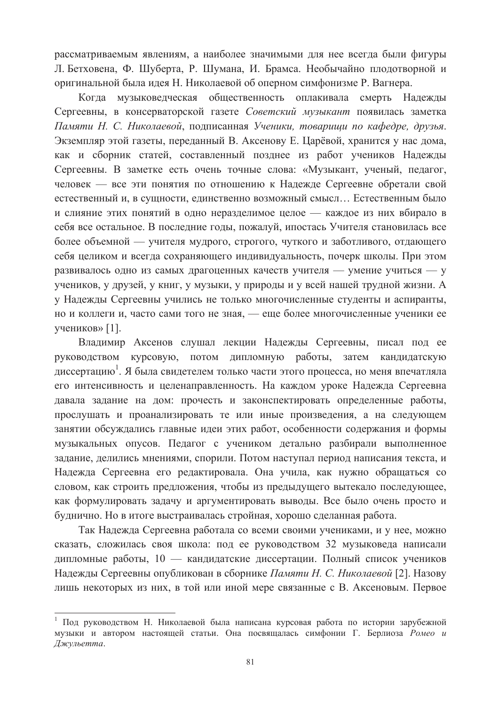рассматриваемым явлениям, а наиболее значимыми для нее всегда были фигуры Л. Бетховена, Ф. Шуберта, Р. Шумана, И. Брамса. Необычайно плодотворной и оригинальной была идея Н. Николаевой об оперном симфонизме Р. Вагнера.

Когда музыковедческая общественность оплакивала смерть Надежды Сергеевны, в консерваторской газете Советский музыкант появилась заметка  $\Pi$ амяти Н. С. Николаевой, подписанная Ученики, товариши по кафедре, друзья. Экземпляр этой газеты, переданный В. Аксенову Е. Царёвой, хранится у нас дома, как и сборник статей, составленный позднее из работ учеников Надежды Сергеевны. В заметке есть очень точные слова: «Музыкант, ученый, педагог, человек — все эти понятия по отношению к Надежде Сергеевне обретали свой естественный и, в сущности, единственно возможный смысл... Естественным было и слияние этих понятий в одно неразделимое целое — каждое из них вбирало в себя все остальное. В последние годы, пожалуй, ипостась Учителя становилась все более объемной — учителя мудрого, строгого, чуткого и заботливого, отдающего себя целиком и всегда сохраняющего индивидуальность, почерк школы. При этом развивалось одно из самых драгоценных качеств учителя — умение учиться — у учеников, у друзей, у книг, у музыки, у природы и у всей нашей трудной жизни. А у Надежды Сергеевны учились не только многочисленные студенты и аспиранты, но и коллеги и, часто сами того не зная, — еще более многочисленные ученики ее учеников» [1].

Владимир Аксенов слушал лекции Надежды Сергеевны, писал под ее руководством курсовую, потом дипломную работы, затем кандидатскую диссертацию<sup>1</sup>. Я была свидетелем только части этого процесса, но меня впечатляла его интенсивность и целенаправленность. На каждом уроке Надежда Сергеевна давала задание на дом: прочесть и законспектировать определенные работы, прослушать и проанализировать те или иные произведения, а на следующем занятии обсуждались главные идеи этих работ, особенности содержания и формы музыкальных опусов. Педагог с учеником детально разбирали выполненное задание, делились мнениями, спорили. Потом наступал период написания текста, и Надежда Сергеевна его редактировала. Она учила, как нужно обращаться со словом, как строить предложения, чтобы из предыдущего вытекало последующее, как формулировать задачу и аргументировать выводы. Все было очень просто и буднично. Но в итоге выстраивалась стройная, хорошо сделанная работа.

Так Надежда Сергеевна работала со всеми своими учениками, и у нее, можно сказать, сложилась своя школа: под ее руководством 32 музыковеда написали дипломные работы, 10 — кандидатские диссертации. Полный список учеников Надежды Сергеевны опубликован в сборнике Памяти Н. С. Николаевой [2]. Назову лишь некоторых из них, в той или иной мере связанные с В. Аксеновым. Первое

 $\overline{a}$ 

Под руководством Н. Николаевой была написана курсовая работа по истории зарубежной музыки и автором настоящей статьи. Она посвящалась симфонии Г. Берлиоза Ромео и Джульетта.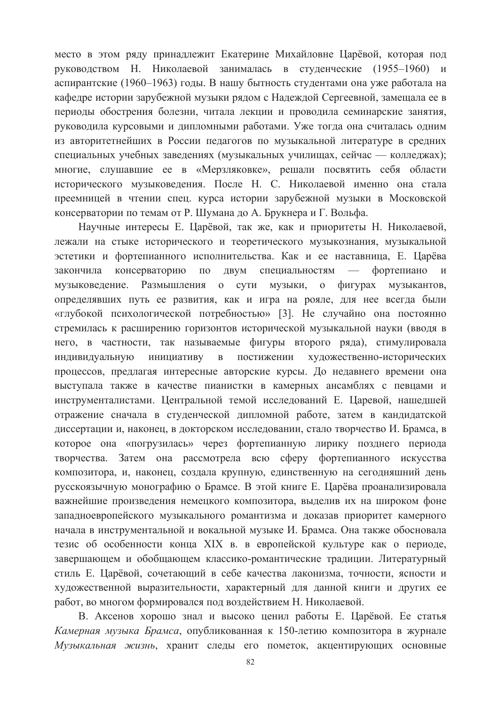место в этом ряду принадлежит Екатерине Михайловне Царёвой, которая под руководством Н. Николаевой занималась в студенческие (1955–1960) и аспирантские (1960–1963) годы. В нашу бытность студентами она уже работала на кафедре истории зарубежной музыки рядом с Надеждой Сергеевной, замещала ее в периоды обострения болезни, читала лекции и проводила семинарские занятия, руководила курсовыми и дипломными работами. Уже тогда она считалась одним из авторитетнейших в России педагогов по музыкальной литературе в средних специальных учебных заведениях (музыкальных училищах, сейчас — колледжах); многие, слушавшие ее в «Мерзляковке», решали посвятить себя области исторического музыковедения. После Н. С. Николаевой именно она стала преемницей в чтении спец. курса истории зарубежной музыки в Московской консерватории по темам от Р. Шумана до А. Брукнера и Г. Вольфа.

Научные интересы Е. Царёвой, так же, как и приоритеты Н. Николаевой, лежали на стыке исторического и теоретического музыкознания, музыкальной эстетики и фортепианного исполнительства. Как и ее наставница, Е. Царёва закончила консерваторию по двум специальностям — фортепиано и музыковедение. Размышления о сути музыки, о фигурах музыкантов, определявших путь ее развития, как и игра на рояле, для нее всегда были «глубокой психологической потребностью» [3]. Не случайно она постоянно стремилась к расширению горизонтов исторической музыкальной науки (вводя в него, в частности, так называемые фигуры второго ряда), стимулировала индивидуальную инициативу в постижении художественно-исторических процессов, предлагая интересные авторские курсы. До недавнего времени она выступала также в качестве пианистки в камерных ансамблях с певцами и инструменталистами. Центральной темой исследований Е. Царевой, нашедшей отражение сначала в студенческой дипломной работе, затем в кандидатской диссертации и, наконец, в докторском исследовании, стало творчество И. Брамса, в которое она «погрузилась» через фортепианную лирику позднего периода творчества. Затем она рассмотрела всю сферу фортепианного искусства композитора, и, наконец, создала крупную, единственную на сегодняшний день русскоязычную монографию о Брамсе. В этой книге Е. Царёва проанализировала важнейшие произведения немецкого композитора, выделив их на широком фоне западноевропейского музыкального романтизма и доказав приоритет камерного начала в инструментальной и вокальной музыке И. Брамса. Она также обосновала тезис об особенности конца XIX в. в европейской культуре как о периоде, завершающем и обобщающем классико-романтические традиции. Литературный стиль Е. Царёвой, сочетающий в себе качества лаконизма, точности, ясности и художественной выразительности, характерный для данной книги и других ее работ, во многом формировался под воздействием Н. Николаевой.

В. Аксенов хорошо знал и высоко ценил работы Е. Царёвой. Ее статья Камерная музыка Брамса, опубликованная к 150-летию композитора в журнале Музыкальная жизнь, хранит следы его пометок, акцентирующих основные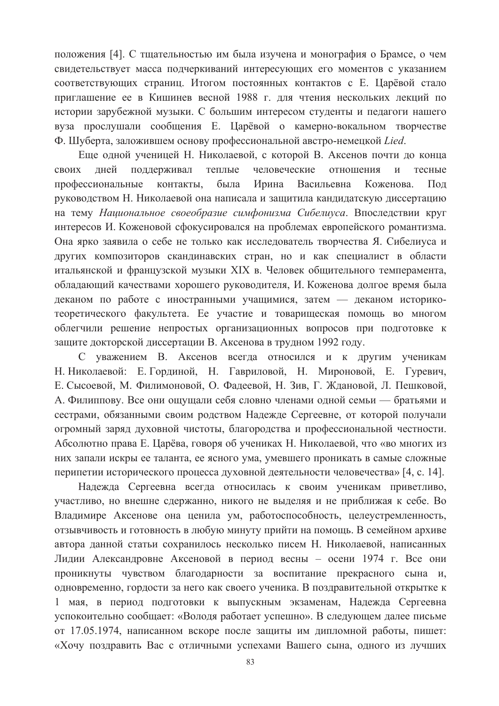положения [4]. С тщательностью им была изучена и монография о Брамсе, о чем свидетельствует масса подчеркиваний интересующих его моментов с указанием соответствующих страниц. Итогом постоянных контактов с Е. Царёвой стало приглашение ее в Кишинев весной 1988 г. для чтения нескольких лекций по истории зарубежной музыки. С большим интересом студенты и педагоги нашего вуза прослушали сообщения Е. Царёвой о камерно-вокальном творчестве Ф. Шуберта, заложившем основу профессиональной австро-немецкой Lied.

Еще одной ученицей Н. Николаевой, с которой В. Аксенов почти до конца своих дней поддерживал теплые человеческие отношения и тесные профессиональные контакты, была Ирина Васильевна Коженова. Под руководством Н. Николаевой она написала и защитила кандидатскую диссертацию на тему Национальное своеобразие симфонизма Сибелиуса. Впоследствии круг интересов И. Коженовой сфокусировался на проблемах европейского романтизма. Она ярко заявила о себе не только как исследователь творчества Я. Сибелиуса и других композиторов скандинавских стран, но и как специалист в области итальянской и французской музыки XIX в. Человек общительного темперамента, обладающий качествами хорошего руководителя, И. Коженова долгое время была деканом по работе с иностранными учащимися, затем — деканом историкотеоретического факультета. Ее участие и товарищеская помощь во многом облегчили решение непростых организационных вопросов при подготовке к защите докторской диссертации В. Аксенова в трудном 1992 году.

С уважением В. Аксенов всегда относился и к другим ученикам Н. Николаевой: Е. Гординой, Н. Гавриловой, Н. Мироновой, Е. Гуревич, Е. Сысоевой, М. Филимоновой, О. Фадеевой, Н. Зив, Г. Ждановой, Л. Пешковой, А. Филиппову. Все они ощущали себя словно членами одной семьи — братьями и сестрами, обязанными своим родством Надежде Сергеевне, от которой получали огромный заряд духовной чистоты, благородства и профессиональной честности. Абсолютно права Е. Царёва, говоря об учениках Н. Николаевой, что «во многих из них запали искры ее таланта, ее ясного ума, умевшего проникать в самые сложные перипетии исторического процесса духовной деятельности человечества» [4, с. 14].

Надежда Сергеевна всегда относилась к своим ученикам приветливо, участливо, но внешне сдержанно, никого не выделяя и не приближая к себе. Во Владимире Аксенове она ценила ум, работоспособность, целеустремленность, отзывчивость и готовность в любую минуту прийти на помощь. В семейном архиве автора данной статьи сохранилось несколько писем Н. Николаевой, написанных Лидии Александровне Аксеновой в период весны – осени 1974 г. Все они проникнуты чувством благодарности за воспитание прекрасного сына и, одновременно, гордости за него как своего ученика. В поздравительной открытке к 1 мая, в период подготовки к выпускным экзаменам, Надежда Сергеевна успокоительно сообщает: «Володя работает успешно». В следующем далее письме от 17.05.1974, написанном вскоре после защиты им дипломной работы, пишет: «Хочу поздравить Вас с отличными успехами Вашего сына, одного из лучших